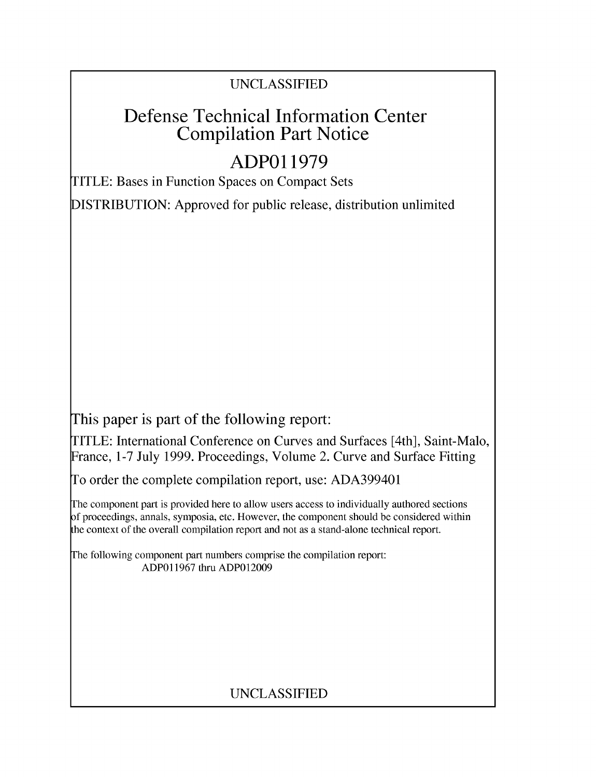### UNCLASSIFIED

## Defense Technical Information Center Compilation Part Notice

# **ADPO 11979**

TITLE: Bases in Function Spaces on Compact Sets

DISTRIBUTION: Approved for public release, distribution unlimited

This paper is part of the following report:

TITLE: International Conference on Curves and Surfaces [4th], Saint-Malo, France, 1-7 July 1999. Proceedings, Volume 2. Curve and Surface Fitting

To order the complete compilation report, use: ADA399401

The component part is provided here to allow users access to individually authored sections f proceedings, annals, symposia, etc. However, the component should be considered within [he context of the overall compilation report and not as a stand-alone technical report.

The following component part numbers comprise the compilation report: ADP011967 thru ADPO12009

## UNCLASSIFIED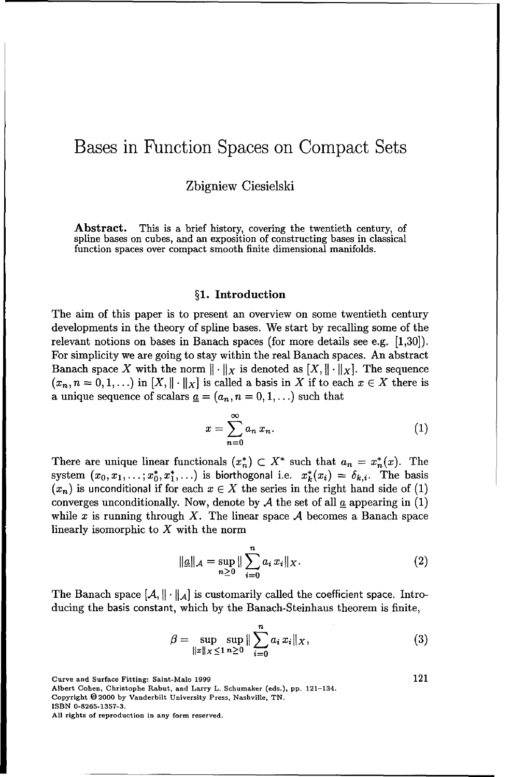Zbigniew Ciesielski

Abstract. This is a brief history, covering the twentieth century, of spline bases on cubes, and an exposition of constructing bases in classical function spaces over compact smooth finite dimensional manifolds.

#### §1. Introduction

The aim of this paper is to present an overview on some twentieth century developments in the theory of spline bases. We start by recalling some of the relevant notions on bases in Banach spaces (for more details see e.g. [1,30]). For simplicity we are going to stay within the real Banach spaces. An abstract Banach space X with the norm  $\|\cdot\|_X$  is denoted as  $[X, \|\cdot\|_X]$ . The sequence  $(x_n, n = 0, 1, \ldots)$  in  $[X, \|\cdot\|_X]$  is called a basis in X if to each  $x \in X$  there is a unique sequence of scalars  $\underline{a} = (a_n, n = 0, 1, \ldots)$  such that

$$
x=\sum_{n=0}^{\infty}a_n\,x_n.\tag{1}
$$

There are unique linear functionals  $(x_n^*) \subset X^*$  such that  $a_n = x_n^*(x)$ . The system  $(x_0, x_1, \ldots, x_0^*, x_1^*, \ldots)$  is biorthogonal i.e.  $x_k^*(x_i) = \delta_{k,i}$ . The basis  $(x_n)$  is unconditional if for each  $x \in X$  the series in the right hand side of (1) converges unconditionally. Now, denote by  $A$  the set of all  $a$  appearing in  $(1)$ while x is running through X. The linear space  $A$  becomes a Banach space linearly isomorphic to  $X$  with the norm

$$
\|\underline{a}\|_{\mathcal{A}} = \sup_{n \ge 0} \|\sum_{i=0}^{n} a_i x_i\|_{X}.
$$
 (2)

The Banach space  $[\mathcal{A}, \|\cdot\|_{\mathcal{A}}]$  is customarily called the coefficient space. Introducing the basis constant, which by the Banach-Steinhaus theorem is finite,

$$
\beta = \sup_{\|x\|_X \le 1} \sup_{n \ge 0} \|\sum_{i=0}^n a_i x_i\|_X, \tag{3}
$$

Curve and Surface Fitting: Saint-Malo 1999 121

Albert Cohen, Christophe Rabut, and Larry L. Schumaker (eds.), pp. 121-134.

Copyright 02000 by Vanderbilt University Press, Nashville, TN.

ISBN 0-8265-1357-3.

All rights of reproduction in any form reserved.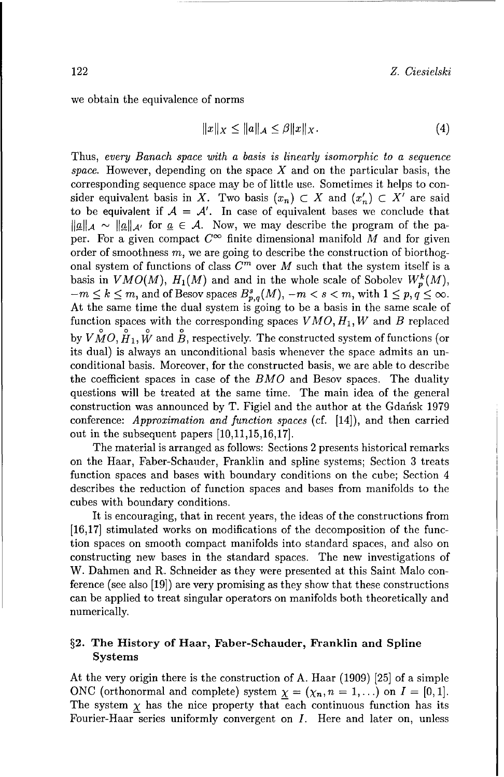we obtain the equivalence of norms

$$
||x||_X \le ||a||_A \le \beta ||x||_X. \tag{4}
$$

Thus, every Banach *space with a basis is linearly isomorphic to a sequence* space. However, depending on the space  $X$  and on the particular basis, the corresponding sequence space may be of little use. Sometimes it helps to consider equivalent basis in X. Two basis  $(x_n) \subset X$  and  $(x'_n) \subset X'$  are said to be equivalent if  $A = A'$ . In case of equivalent bases we conclude that  $\|\underline{a}\|_{\mathcal{A}} \sim \|\underline{a}\|_{\mathcal{A}}$  for  $\underline{a} \in \mathcal{A}$ . Now, we may describe the program of the paper. For a given compact  $C^{\infty}$  finite dimensional manifold M and for given order of smoothness  $m$ , we are going to describe the construction of biorthogonal system of functions of class  $C^m$  over M such that the system itself is a basis in *VMO(M)*,  $H_1(M)$  and and in the whole scale of Sobolev  $W_p^k(M)$ ,  $-m \leq k \leq m$ , and of Besov spaces  $B_{p,q}^s(M)$ ,  $-m < s < m$ , with  $1 \leq p, q \leq \infty$ . At the same time the dual system is going to be a basis in the same scale of function spaces with the corresponding spaces  $VMO, H_1, W$  and  $B$  replaced by  $VMO, \stackrel{\circ}{H}_1, \stackrel{\circ}{W}$  and  $\stackrel{\circ}{B}$ , respectively. The constructed system of functions (or its dual) is always an unconditional basis whenever the space admits an unconditional basis. Moreover, for the constructed basis, we are able to describe the coefficient spaces in case of the *BMO* and Besov spaces. The duality questions will be treated at the same time. The main idea of the general construction was announced by T. Figiel and the author at the Gdafisk 1979 conference: Approximation and function *spaces* (cf. [14]), and then carried out in the subsequent papers [10,11,15,16,17].

The material is arranged as follows: Sections 2 presents historical remarks on the Haar, Faber-Schauder, Franklin and spline systems; Section 3 treats function spaces and bases with boundary conditions on the cube; Section 4 describes the reduction of function spaces and bases from manifolds to the cubes with boundary conditions.

It is encouraging, that in recent years, the ideas of the constructions from [16,17] stimulated works on modifications of the decomposition of the function spaces on smooth compact manifolds into standard spaces, and also on constructing new bases in the standard spaces. The new investigations of W. Dahmen and R. Schneider as they were presented at this Saint Malo conference (see also [19]) are very promising as they show that these constructions can be applied to treat singular operators on manifolds both theoretically and numerically.

#### §2. The History of Haar, Faber-Schauder, Franklin and Spline Systems

At the very origin there is the construction of A. Haar (1909) [25] of a simple ONC (orthonormal and complete) system  $\chi = (\chi_n, n = 1, \ldots)$  on  $I = [0, 1].$ The system  $\chi$  has the nice property that each continuous function has its Fourier-Haar series uniformly convergent on I. Here and later on, unless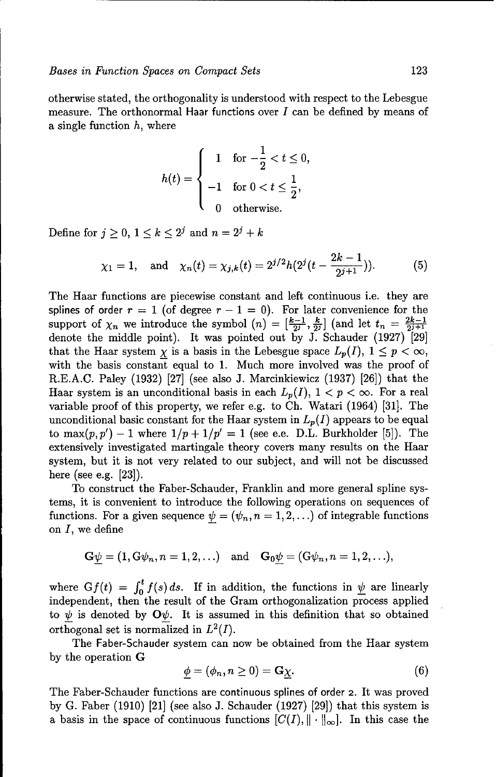otherwise stated, the orthogonality is understood with respect to the Lebesgue measure. The orthonormal Haar functions over  $I$  can be defined by means of a single function  $h$ , where

$$
h(t) = \begin{cases} 1 & \text{for } -\frac{1}{2} < t \leq 0, \\ -1 & \text{for } 0 < t \leq \frac{1}{2}, \\ 0 & \text{otherwise.} \end{cases}
$$

Define for  $j \geq 0, 1 \leq k \leq 2^j$  and  $n = 2^j + k$ 

$$
\chi_1 = 1
$$
, and  $\chi_n(t) = \chi_{j,k}(t) = 2^{j/2}h(2^j(t - \frac{2k-1}{2^{j+1}})).$  (5)

The Haar functions are piecewise constant and left continuous i.e. they are splines of order  $r = 1$  (of degree  $r - 1 = 0$ ). For later convenience for the support of  $\chi_n$  we introduce the symbol  $(n) = \left[\frac{k-1}{2^j}, \frac{k}{2^j}\right]$  (and let  $t_n = \frac{2k-1}{2^{j+1}}$ denote the middle point). It was pointed out by J. Schauder (1927) [29] that the Haar system  $\underline{\chi}$  is a basis in the Lebesgue space  $L_p(I)$ ,  $1 \leq p < \infty$ , with the basis constant equal to 1. Much more involved was the proof of R.E.A.C. Paley (1932) [27] (see also **J.** Marcinkiewicz (1937) [26]) that the Haar system is an unconditional basis in each  $L_p(I)$ ,  $1 < p < \infty$ . For a real variable proof of this property, we refer e.g. to **Ch.** Watari (1964) [31]. The unconditional basic constant for the Haar system in  $L_p(I)$  appears to be equal to max $(p, p') - 1$  where  $1/p + 1/p' = 1$  (see e.e. D.L. Burkholder [5]). The extensively investigated martingale theory covers many results on the Haar system, but it is not very related to our subject, and will not be discussed here (see e.g. [23]).

To construct the Faber-Schauder, Franklin and more general spline systems, it is convenient to introduce the following operations on sequences of functions. For a given sequence  $\psi = (\psi_n, n = 1, 2, \ldots)$  of integrable functions on *I,* we define

$$
G\psi = (1, G\psi_n, n = 1, 2, ...)
$$
 and  $G_0\psi = (G\psi_n, n = 1, 2, ...),$ 

where  $Gf(t) = \int_0^t f(s) ds$ . If in addition, the functions in  $\psi$  are linearly independent, then the result of the Gram orthogonalization process applied to  $\psi$  is denoted by  $\mathbf{O}\psi$ . It is assumed in this definition that so obtained orthogonal set is normalized in  $L^2(I)$ .

The Faber-Schauder system can now be obtained from the Haar system by the operation G

$$
\underline{\phi} = (\phi_n, n \ge 0) = \mathbf{G}\underline{\chi}.\tag{6}
$$

The Faber-Schauder functions are continuous splines of order 2. It was proved by G. Faber (1910) [21] (see also J. Schauder (1927) [29]) that this system is a basis in the space of continuous functions  $[C(I), \|\cdot\|_{\infty}]$ . In this case the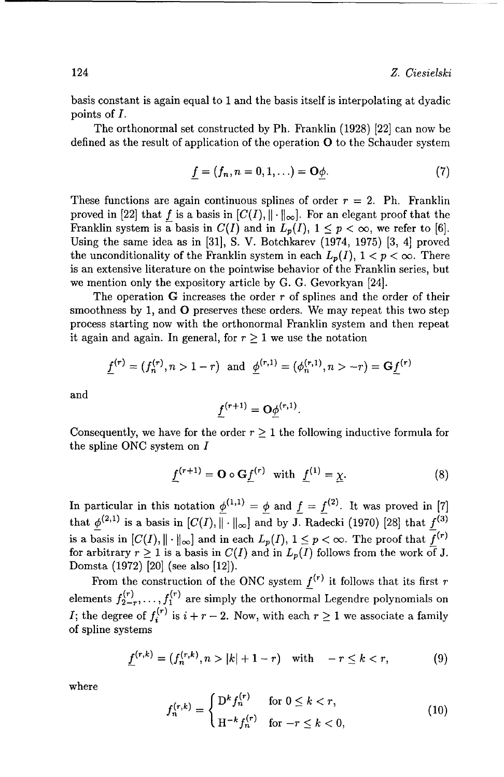basis constant is again equal to 1 and the basis itself is interpolating at dyadic points of *I.*

The orthonormal set constructed by Ph. Franklin (1928) [22] can now be defined as the result of application of the operation **0** to the Schauder system

$$
\underline{f} = (f_n, n = 0, 1, \ldots) = \mathbf{O}\underline{\phi}.
$$
 (7)

These functions are again continuous splines of order  $r = 2$ . Ph. Franklin proved in [22] that *f* is a basis in  $[C(I), \|\cdot\|_{\infty}]$ . For an elegant proof that the Franklin system is a basis in  $C(I)$  and in  $L_p(I)$ ,  $1 \leq p < \infty$ , we refer to [6]. Using the same idea as in [31], S. V. Botchkarev (1974, 1975) [3, 4] proved the unconditionality of the Franklin system in each  $L_p(I)$ ,  $1 < p < \infty$ . There is an extensive literature on the pointwise behavior of the Franklin series, but we mention only the expository article by G. G. Gevorkyan [24].

The operation G increases the order *r* of splines and the order of their smoothness by 1, and **0** preserves these orders. We may repeat this two step process starting now with the orthonormal Franklin system and then repeat it again and again. In general, for  $r \geq 1$  we use the notation

$$
\underline{f}^{(r)} = (f_n^{(r)}, n > 1 - r) \text{ and } \underline{\phi}^{(r,1)} = (\phi_n^{(r,1)}, n > -r) = \mathbf{G}\underline{f}^{(r)}
$$

and

$$
f^{(r+1)} = \mathbf{O}\phi^{(r,1)}.
$$

Consequently, we have for the order  $r \geq 1$  the following inductive formula for the spline **ONC** system on I

$$
\underline{f}^{(r+1)} = \mathbf{O} \circ \mathbf{G} \underline{f}^{(r)} \quad \text{with} \quad \underline{f}^{(1)} = \underline{\chi}.\tag{8}
$$

In particular in this notation  $\underline{\phi}^{(1,1)} = \underline{\phi}$  and  $\underline{f} = \underline{f}^{(2)}$ . It was proved in [7] that  $\phi^{(2,1)}$  is a basis in  $[C(I), \|\cdot\|_{\infty}]$  and by **J.** Radecki (1970) [28] that  $f^{(3)}$ is a basis in  $[C(I), \|\cdot\|_{\infty}]$  and in each  $L_p(I), 1 \leq p < \infty$ . The proof that  $f^{(r)}$ for arbitrary  $r \geq 1$  is a basis in  $C(I)$  and in  $L_p(I)$  follows from the work of J. Domsta (1972) [20] (see also [12]).

From the construction of the ONC system  $f^{(r)}$  it follows that its first  $r$ elements  $f_{2-r}^{(r)}, \ldots, f_1^{(r)}$  are simply the orthonormal Legendre polynomials on I; the degree of  $f_i^{(r)}$  is  $i + r - 2$ . Now, with each  $r \geq 1$  we associate a family of spline systems

$$
\underline{f}^{(r,k)} = (f_n^{(r,k)}, n > |k| + 1 - r) \quad \text{with} \quad -r \le k < r,\tag{9}
$$

where

$$
f_n^{(r,k)} = \begin{cases} D^k f_n^{(r)} & \text{for } 0 \le k < r, \\ H^{-k} f_n^{(r)} & \text{for } -r \le k < 0, \end{cases}
$$
 (10)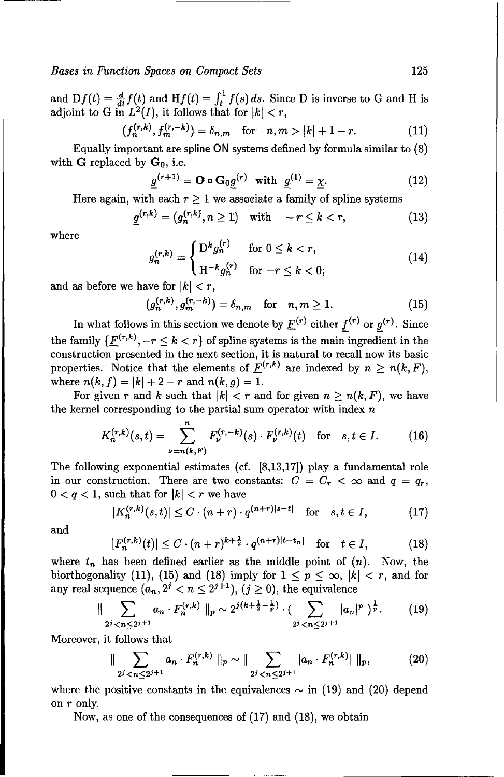and  $Df(t) = \frac{d}{dt}f(t)$  and  $Hf(t) = \int_t^1 f(s) ds$ . Since D is inverse to G and H is adjoint to G in  $L^2(I)$ , it follows that for  $|k| < r$ ,

$$
(f_n^{(r,k)}, f_m^{(r,-k)}) = \delta_{n,m} \quad \text{for} \quad n, m > |k| + 1 - r. \tag{11}
$$

Equally important are spline ON systems defined by formula similar to (8) with G replaced by  $G_0$ , i.e.

$$
\underline{g}^{(r+1)} = \mathbf{O} \circ \mathbf{G}_0 \underline{g}^{(r)} \quad \text{with} \quad \underline{g}^{(1)} = \underline{\chi}.
$$
 (12)

Here again, with each  $r \ge 1$  we associate a family of spline systems<br>  $q^{(r,k)} = (q^{(r,k)}, n \ge 1)$  with  $-r < k < r$ . (13)

$$
\underline{g}^{(r,k)} = (g_n^{(r,k)}, n \ge 1) \quad \text{with} \quad -r \le k < r,\tag{13}
$$

where

$$
g_n^{(r,k)} = \begin{cases} D^k g_n^{(r)} & \text{for } 0 \le k < r, \\ H^{-k} g_n^{(r)} & \text{for } -r \le k < 0; \end{cases}
$$
(14)

and as before we have for  $|k| < r$ ,

$$
(g_n^{(r,k)}, g_m^{(r,-k)}) = \delta_{n,m}
$$
 for  $n, m \ge 1$ . (15)

In what follows in this section we denote by  $\underline{F}^{(r)}$  either  $f^{(r)}$  or  $g^{(r)}$ . Since the family  $\{\underline{F}^{(r,k)}, -r \leq k < r\}$  of spline systems is the main ingredient in the construction presented in the next section, it is natural to recall now its basic properties. Notice that the elements of  $\underline{F}^{(r,k)}$  are indexed by  $n \geq n(k, F)$ , where  $n(k, f) = |k| + 2 - r$  and  $n(k, g) = 1$ .

For given r and k such that  $|k| < r$  and for given  $n \geq n(k, F)$ , we have the kernel corresponding to the partial sum operator with index  $n$ 

$$
K_n^{(r,k)}(s,t) = \sum_{\nu=n(k,F)}^n F_{\nu}^{(r,-k)}(s) \cdot F_{\nu}^{(r,k)}(t) \quad \text{for} \quad s, t \in I. \tag{16}
$$

The following exponential estimates (cf. [8,13,17]) play a fundamental role in our construction. There are two constants:  $C = C_r < \infty$  and  $q = q_r$ ,  $0 < q < 1$ , such that for  $|k| < r$  we have

$$
|K_n^{(r,k)}(s,t)| \le C \cdot (n+r) \cdot q^{(n+r)|s-t|} \quad \text{for} \quad s,t \in I,\tag{17}
$$

and

$$
|F_n^{(r,k)}(t)| \le C \cdot (n+r)^{k+\frac{1}{2}} \cdot q^{(n+r)|t-t_n|} \quad \text{for} \quad t \in I,
$$
 (18)

where  $t_n$  has been defined earlier as the middle point of  $(n)$ . Now, the biorthogonality (11), (15) and (18) imply for  $1 \le p \le \infty$ ,  $|k| < r$ , and for any real sequence  $(a_n, 2^j < n \leq 2^{j+1}), (j \geq 0)$ , the equivalence

$$
\|\sum_{2^j < n \leq 2^{j+1}} a_n \cdot F_n^{(r,k)} \|_p \sim 2^{j(k+\frac{1}{2}-\frac{1}{p})} \cdot \left( \sum_{2^j < n \leq 2^{j+1}} |a_n|^p \right)^{\frac{1}{p}}. \tag{19}
$$

Moreover, it follows that

$$
\|\sum_{2^j < n \le 2^{j+1}} a_n \cdot F_n^{(r,k)} \|_p \sim \|\sum_{2^j < n \le 2^{j+1}} |a_n \cdot F_n^{(r,k)}| \|_p,\tag{20}
$$

where the positive constants in the equivalences  $\sim$  in (19) and (20) depend on r only.

Now, as one of the consequences of (17) and (18), we obtain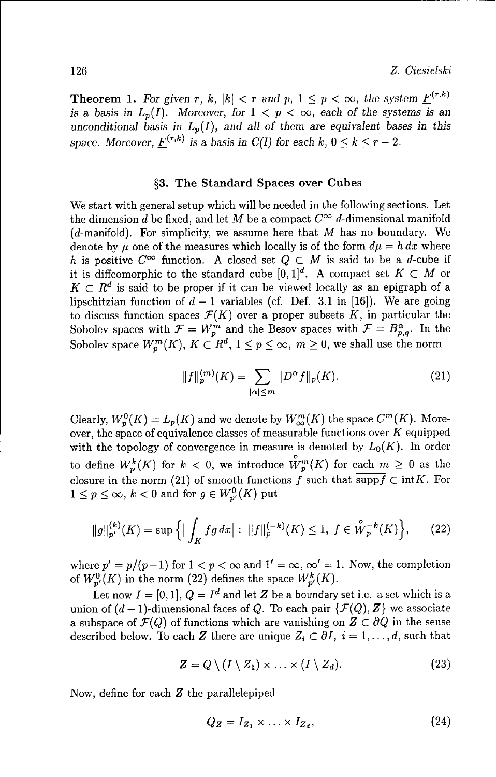**Theorem 1.** For given r, k,  $|k| < r$  and p,  $1 \leq p < \infty$ , the system  $\underline{F}^{(r,k)}$ *is a basis in*  $L_p(I)$ *. Moreover, for*  $1 < p < \infty$ , *each of the systems is an* unconditional basis in  $L_p(I)$ , and all of them are equivalent bases in this *space. Moreover,*  $F^{(r,k)}$  *is a basis in C(I) for each k,*  $0 \le k \le r - 2$ .

#### **§3.** The Standard Spaces over Cubes

We start with general setup which will be needed in the following sections. Let the dimension d be fixed, and let M be a compact  $C^{\infty}$  d-dimensional manifold  $(d$ -manifold). For simplicity, we assume here that M has no boundary. We denote by  $\mu$  one of the measures which locally is of the form  $d\mu = h dx$  where h is positive  $C^{\infty}$  function. A closed set  $Q \subset M$  is said to be a d-cube if it is diffeomorphic to the standard cube  $[0,1]^d$ . A compact set  $K \subset M$  or  $K \subset R^d$  is said to be proper if it can be viewed locally as an epigraph of a lipschitzian function of  $d-1$  variables (cf. Def. 3.1 in [16]). We are going to discuss function spaces  $\mathcal{F}(K)$  over a proper subsets K, in particular the Sobolev spaces with  $\mathcal{F} = W_p^m$  and the Besov spaces with  $\mathcal{F} = B_{p,q}^{\alpha}$ . In the Sobolev space  $W^m_{\bm p}(K),\,K\subset R^d,\,1\leq p\leq\infty,\;m\geq 0,$  we shall use the norm

$$
||f||_p^{(m)}(K) = \sum_{|\alpha| \le m} ||D^{\alpha}f||_p(K). \tag{21}
$$

Clearly,  $W_p^0(K) = L_p(K)$  and we denote by  $W_{\infty}^m(K)$  the space  $C^m(K)$ . Moreover, the space of equivalence classes of measurable functions over  $K$  equipped with the topology of convergence in measure is denoted by  $L_0(K)$ . In order to define  $W_p^k(K)$  for  $k < 0$ , we introduce  $\overset{\circ}{W}_p^m(K)$  for each  $m \geq 0$  as the closure in the norm (21) of smooth functions f such that  $\overline{\text{supp}f} \subset \text{int}K$ . For  $1\leq p\leq\infty,$   $k<0$  and for  $g\in W_{p^{\prime}}^{0}(K)$  put

$$
||g||_{p'}^{(k)}(K) = \sup \Big\{ \Big| \int_K fg \, dx \Big| : \ ||f||_p^{(-k)}(K) \le 1, \ f \in \overset{\circ}{W}_p^{-k}(K) \Big\}, \tag{22}
$$

where  $p' = p/(p-1)$  for  $1 < p < \infty$  and  $1' = \infty$ ,  $\infty' = 1$ . Now, the completion of  $W_{p'}^0(K)$  in the norm (22) defines the space  $W_{p'}^k(K)$ .

Let now  $I = [0, 1], Q = I^d$  and let Z be a boundary set i.e. a set which is a union of  $(d-1)$ -dimensional faces of Q. To each pair  $\{\mathcal{F}(Q), Z\}$  we associate a subspace of  $\mathcal{F}(Q)$  of functions which are vanishing on  $\mathbf{Z} \subset \partial Q$  in the sense described below. To each Z there are unique  $Z_i \subset \partial I$ ,  $i = 1, \ldots, d$ , such that

$$
Z = Q \setminus (I \setminus Z_1) \times \ldots \times (I \setminus Z_d). \tag{23}
$$

Now, define for each Z the parallelepiped

$$
Q_{\mathbf{Z}} = I_{Z_1} \times \ldots \times I_{Z_d},\tag{24}
$$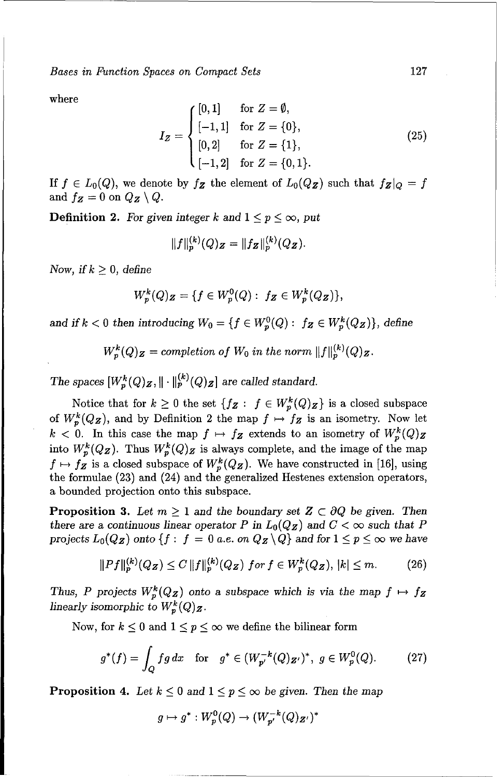where

$$
I_Z = \begin{cases} [0,1] & \text{for } Z = \emptyset, \\ [-1,1] & \text{for } Z = \{0\}, \\ [0,2] & \text{for } Z = \{1\}, \\ [-1,2] & \text{for } Z = \{0,1\}. \end{cases}
$$
(25)

If  $f \in L_0(Q)$ , we denote by  $f_Z$  the element of  $L_0(Q_Z)$  such that  $f_Z|_Q = f$ and  $f_Z = 0$  on  $Q_Z \setminus Q$ .

**Definition 2.** For given integer k and  $1 \leq p \leq \infty$ , put

$$
||f||_p^{(k)}(Q)Z = ||f_Z||_p^{(k)}(Q_Z).
$$

*Now, if*  $k \geq 0$ *, define* 

$$
W_p^k(Q)Z = \{ f \in W_p^0(Q) : f_Z \in W_p^k(Q_Z) \},\
$$

and if  $k < 0$  then introducing  $W_0 = \{f \in W_n^0(Q) : f_{\mathbf{Z}} \in W_n^k(Q_{\mathbf{Z}})\}\)$ , define

 $W_p^k(Q)_Z =$  completion of  $W_0$  in the norm  $||f||_p^{(k)}(Q)_Z$ .

*The spaces*  $[W_p^k(Q)Z, \|\cdot\|_p^{(k)}(Q)Z\}$  are called standard.

Notice that for  $k \geq 0$  the set  $\{f_Z : f \in W_p^k(Q)_Z\}$  is a closed subspace of  $W_p^k(Q_Z)$ , and by Definition 2 the map  $f \mapsto f_Z$  is an isometry. Now let  $k < 0$ . In this case the map  $f \mapsto f_{\mathbf{Z}}$  extends to an isometry of  $W_p^k(Q)_{\mathbf{Z}}$ into  $W_p^k(Q_Z)$ . Thus  $W_p^k(Q_Z)$  is always complete, and the image of the map  $f \mapsto f_{\mathbf{Z}}$  is a closed subspace of  $W_p^k(Q_{\mathbf{Z}})$ . We have constructed in [16], using the formulae (23) and (24) and the generalized Hestenes extension operators, a bounded projection onto this subspace.

**Proposition 3.** Let  $m \geq 1$  and the boundary set  $\mathbf{Z} \subset \partial Q$  be given. Then there are a continuous linear operator P in  $L_0(Q_Z)$  and  $C < \infty$  such that P *projects*  $L_0(Q_Z)$  *onto*  $\{f : f = 0 \text{ a.e. on } Q_Z \setminus Q\}$  *and for*  $1 \leq p \leq \infty$  we have

$$
||Pf||_p^{(k)}(Q_Z) \le C ||f||_p^{(k)}(Q_Z) \text{ for } f \in W_p^k(Q_Z), |k| \le m. \tag{26}
$$

*Thus, P projects*  $W_p^k(Q_z)$  onto a subspace which is via the map  $f \mapsto f_z$ *linearly isomorphic to*  $W_p^k(Q)$ **z**.

Now, for  $k \leq 0$  and  $1 \leq p \leq \infty$  we define the bilinear form

$$
g^*(f) = \int_Q fg \, dx \quad \text{for} \quad g^* \in (W_{p'}^{-k}(Q)_{Z'})^*, \ g \in W_p^0(Q). \tag{27}
$$

**Proposition 4.** Let  $k \leq 0$  and  $1 \leq p \leq \infty$  be given. Then the map

$$
g \mapsto g^* : W_p^0(Q) \to (W_{p'}^{-k}(Q)_{Z'})^*
$$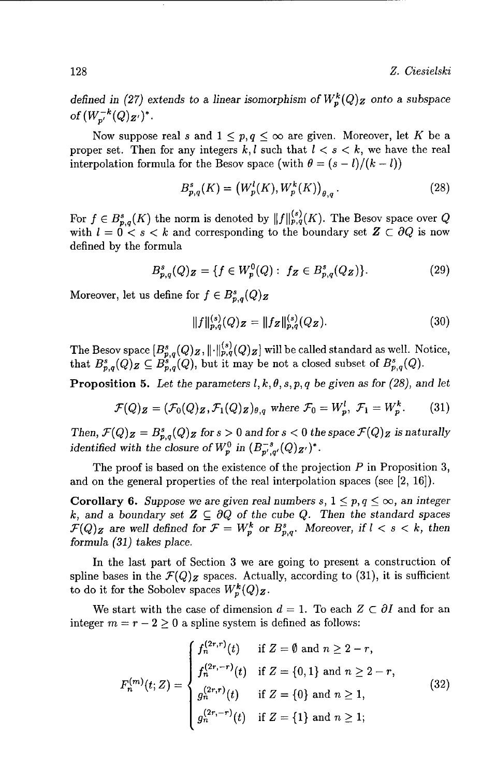*defined in (27) extends to a linear isomorphism of*  $W_p^k(Q)$  *z* onto a subspace *of*  $(W_{n'}^{-k}(Q)_{Z'})^*$ .

Now suppose real s and  $1 \leq p, q \leq \infty$  are given. Moreover, let K be a proper set. Then for any integers  $k, l$  such that  $l < s < k$ , we have the real interpolation formula for the Besov space (with  $\theta = (s - l)/(k - l)$ )

$$
B_{p,q}^{s}(K) = (W_{p}^{l}(K), W_{p}^{k}(K))_{\theta,q}.
$$
 (28)

For  $f \in B_{p,q}^s(K)$  the norm is denoted by  $||f||_{p,q}^{(s)}(K)$ . The Besov space over Q with  $l = 0 < s < k$  and corresponding to the boundary set  $Z \subset \partial Q$  is now defined by the formula

$$
B_{p,q}^{s}(Q)Z = \{ f \in W_p^0(Q) : f_Z \in B_{p,q}^{s}(Q_Z) \}.
$$
 (29)

Moreover, let us define for  $f \in B_{p,q}^s(Q)$ **z** 

$$
||f||_{p,q}^{(s)}(Q)z = ||fz||_{p,q}^{(s)}(Qz).
$$
 (30)

The Besov space  $[B^{s}_{p,q}(Q)_{\boldsymbol{Z}}, \| \cdot \|^{(s)}_{p,q}(Q)_{\boldsymbol{Z}}]$  will be called standard as well. Notice, that  $B_{p,q}^s(Q)$   $\subseteq$   $B_{p,q}^s(Q)$ , but it may be not a closed subset of  $B_{p,q}^s(Q)$ .

**Proposition 5.** Let the parameters  $l, k, \theta, s, p, q$  be given as for (28), and let

$$
\mathcal{F}(Q)Z = (\mathcal{F}_0(Q)Z, \mathcal{F}_1(Q)Z)_{\theta,q} \text{ where } \mathcal{F}_0 = W_p^l, \ \mathcal{F}_1 = W_p^k. \tag{31}
$$

*Then,*  $\mathcal{F}(Q)_{\mathbf{Z}} = B_{\mathbf{p},q}^s(Q)_{\mathbf{Z}}$  for  $s > 0$  and for  $s < 0$  the space  $\mathcal{F}(Q)_{\mathbf{Z}}$  is naturally *identified with the closure of*  $W_p^0$  *in*  $(B_{p',q'}^{-s}(Q)_{Z'})^*$ .

The proof is based on the existence of the projection  $P$  in Proposition 3, and on the general properties of the real interpolation spaces (see [2, 16]).

Corollary 6. *Suppose we are given real numbers s,*  $1 \leq p, q \leq \infty$ , an *integer k*, and a boundary set  $\mathbf{Z} \subseteq \partial Q$  of the cube  $Q$ . Then the standard spaces  $\mathcal{F}(Q)$ <sub>Z</sub> are well defined for  $\mathcal{F} = W_p^k$  or  $B_{p,q}^s$ . Moreover, if  $l \lt s \lt k$ , then *formula (31) takes place.*

In the last part of Section 3 we are going to present a construction of spline bases in the  $\mathcal{F}(Q)$ <sub>z</sub> spaces. Actually, according to (31), it is sufficient to do it for the Sobolev spaces  $W_p^{\kappa}(Q)$ z.

We start with the case of dimension  $d = 1$ . To each  $Z \subset \partial I$  and for an integer  $m = r - 2 \geq 0$  a spline system is defined as follows:

$$
F_n^{(m)}(t; Z) = \begin{cases} f_n^{(2r,r)}(t) & \text{if } Z = \emptyset \text{ and } n \ge 2 - r, \\ f_n^{(2r,-r)}(t) & \text{if } Z = \{0,1\} \text{ and } n \ge 2 - r, \\ g_n^{(2r,r)}(t) & \text{if } Z = \{0\} \text{ and } n \ge 1, \\ g_n^{(2r,-r)}(t) & \text{if } Z = \{1\} \text{ and } n \ge 1; \end{cases}
$$
(32)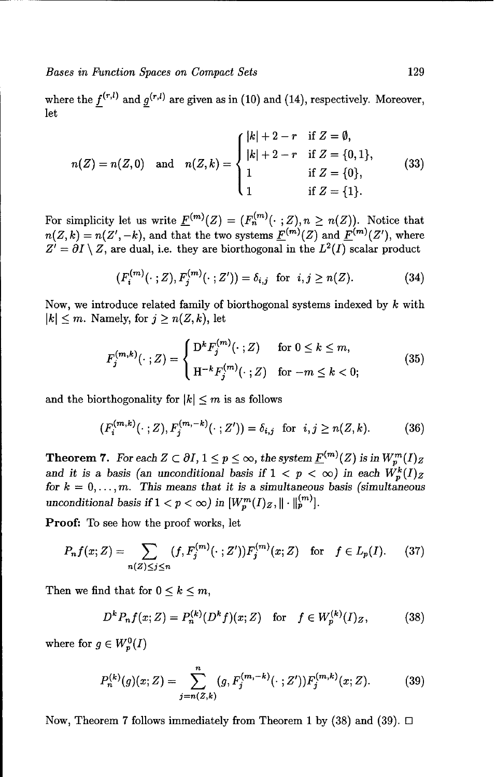where the  $f^{(r,l)}$  and  $g^{(r,l)}$  are given as in (10) and (14), respectively. Moreover, let

$$
n(Z) = n(Z,0) \text{ and } n(Z,k) = \begin{cases} |k| + 2 - r & \text{if } Z = \emptyset, \\ |k| + 2 - r & \text{if } Z = \{0,1\}, \\ 1 & \text{if } Z = \{0\}, \\ 1 & \text{if } Z = \{1\}. \end{cases}
$$
(33)

For simplicity let us write  $\underline{F}^{(m)}(Z) = (F_n^{(m)}(\cdot \; ; Z), n \ge n(Z)).$  Notice that  $n(Z, k) = n(Z', -k)$ , and that the two systems  $\underline{F}^{(m)}(Z)$  and  $\underline{F}^{(m)}(Z')$ , where  $Z' = \partial I \setminus Z$ , are dual, i.e. they are biorthogonal in the  $L^2(I)$  scalar product

$$
(F_i^{(m)}(\cdot \; ;Z), F_j^{(m)}(\cdot \; ;Z')) = \delta_{i,j} \; \text{ for } \; i,j \ge n(Z). \tag{34}
$$

Now, we introduce related family of biorthogonal systems indexed by  $k$  with  $|k| \leq m$ . Namely, for  $j \geq n(Z, k)$ , let

$$
F_j^{(m,k)}(\cdot;Z) = \begin{cases} D^k F_j^{(m)}(\cdot;Z) & \text{for } 0 \le k \le m, \\ H^{-k} F_j^{(m)}(\cdot;Z) & \text{for } -m \le k < 0; \end{cases} \tag{35}
$$

and the biorthogonality for  $|k| \leq m$  is as follows

$$
(F_i^{(m,k)}(\cdot\;;Z), F_j^{(m,-k)}(\cdot\;;Z')) = \delta_{i,j} \text{ for } i,j \ge n(Z,k). \tag{36}
$$

**Theorem 7.** *For each*  $Z \subset \partial I$ ,  $1 \leq p \leq \infty$ , *the system*  $\underline{F}^{(m)}(Z)$  *is in*  $W_p^m(I)_Z$ and it is a basis (an *unconditional basis* if  $1 < p < \infty$ ) in each  $W_n^k(I)_2$ for  $k = 0, \ldots, m$ . This means that it is a simultaneous basis (simultaneous *unconditional basis if*  $1 < p < \infty$ *) in*  $[W_n^m(I)_Z, \|\cdot\|_p^{(m)}]$ .

Proof: To see how the proof works, let

$$
P_n f(x; Z) = \sum_{n(Z) \le j \le n} (f, F_j^{(m)}(\cdot; Z')) F_j^{(m)}(x; Z) \text{ for } f \in L_p(I). \tag{37}
$$

Then we find that for  $0 \leq k \leq m$ ,

$$
D^{k}P_{n}f(x;Z) = P_{n}^{(k)}(D^{k}f)(x;Z) \text{ for } f \in W_{p}^{(k)}(I)_{Z}, \quad (38)
$$

where for  $g \in W_p^0(I)$ 

$$
P_n^{(k)}(g)(x;Z) = \sum_{j=n(Z,k)}^n (g, F_j^{(m,-k)}(\cdot;Z'))F_j^{(m,k)}(x;Z). \tag{39}
$$

Now, Theorem 7 follows immediately from Theorem 1 by (38) and (39). **El**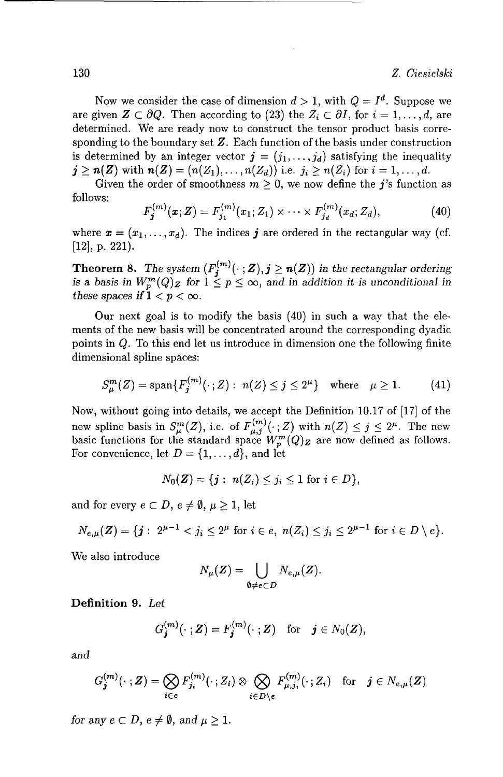Now we consider the case of dimension  $d > 1$ , with  $Q = I^d$ . Suppose we are given  $\mathbf{Z} \subset \partial Q$ . Then according to (23) the  $Z_i \subset \partial I$ , for  $i = 1, \ldots, d$ , are determined. We are ready now to construct the tensor product basis corresponding to the boundary set  $Z$ . Each function of the basis under construction is determined by an integer vector  $\mathbf{j} = (j_1, \ldots, j_d)$  satisfying the inequality  $j \geq n(Z)$  with  $n(Z) = (n(Z_1), \ldots, n(Z_d))$  i.e.  $j_i \geq n(Z_i)$  for  $i = 1, \ldots, d$ .

Given the order of smoothness  $m \geq 0$ , we now define the j's function as follows:<br> $F^{(m)}(x; Z) = F^{(m)}(x; Z), \qquad \dots \qquad F^{(m)}(x; Z)$ , (40)

$$
F_j^{(m)}(\mathbf{x}; \mathbf{Z}) = F_{j_1}^{(m)}(x_1; Z_1) \times \cdots \times F_{j_d}^{(m)}(x_d; Z_d), \tag{40}
$$

where  $\mathbf{x} = (x_1, \ldots, x_d)$ . The indices **j** are ordered in the rectangular way (cf. [12], p. 221).

**Theorem 8.** The system  $(F_i^{(m)}(\cdot; \mathbf{Z}), j \ge n(\mathbf{Z}))$  in the rectangular ordering *is a basis in*  $W_n^m(Q)$  *z* for  $1 \leq p \leq \infty$ , and in addition it is unconditional in these spaces if  $1 < p < \infty$ .

Our next goal is to modify the basis (40) in such a way that the elements of the new basis will be concentrated around the corresponding dyadic points in  $Q$ . To this end let us introduce in dimension one the following finite dimensional spline spaces:

$$
S_{\mu}^{m}(Z) = \text{span}\{F_{j}^{(m)}(\cdot; Z) : n(Z) \le j \le 2^{\mu}\} \text{ where } \mu \ge 1. \tag{41}
$$

Now, without going into details, we accept the Definition 10.17 of [17] of the new spline basis in  $S_{\mu}^{m}(Z)$ , i.e. of  $F_{\mu,j}^{(m)}(\cdot; Z)$  with  $n(Z) \leq j \leq 2^{\mu}$ . The new basic functions for the standard space  $W_n^m(Q)$  are now defined as follows. For convenience, let  $D = \{1, \ldots, d\}$ , and let

$$
N_0(\mathbf{Z}) = \{ \mathbf{j} : n(Z_i) \leq j_i \leq 1 \text{ for } i \in D \},
$$

and for every  $e \subset D$ ,  $e \neq \emptyset$ ,  $\mu \geq 1$ , let

$$
N_{e,\mu}(Z) = \{j: 2^{\mu-1} < j_i \leq 2^{\mu} \text{ for } i \in e, n(Z_i) \leq j_i \leq 2^{\mu-1} \text{ for } i \in D \setminus e\}.
$$

We also introduce

$$
N_{\mu}(\boldsymbol{Z}) = \bigcup_{\emptyset \neq e \subset D} N_{e,\mu}(\boldsymbol{Z}).
$$

Definition **9.** Let

$$
G_j^{(m)}(\cdot; \mathbf{Z}) = F_j^{(m)}(\cdot; \mathbf{Z}) \quad \text{for} \quad \mathbf{j} \in N_0(\mathbf{Z}),
$$

*and*

$$
G_{\boldsymbol{j}}^{(m)}(\cdot; \boldsymbol{Z}) = \bigotimes_{i \in e} F_{j_i}^{(m)}(\cdot; Z_i) \otimes \bigotimes_{i \in D \setminus e} F_{\mu, j_i}^{(m)}(\cdot; Z_i) \quad \text{for} \quad \boldsymbol{j} \in N_{e, \mu}(\boldsymbol{Z})
$$

*for any*  $e \subset D$ ,  $e \neq \emptyset$ , and  $\mu \geq 1$ .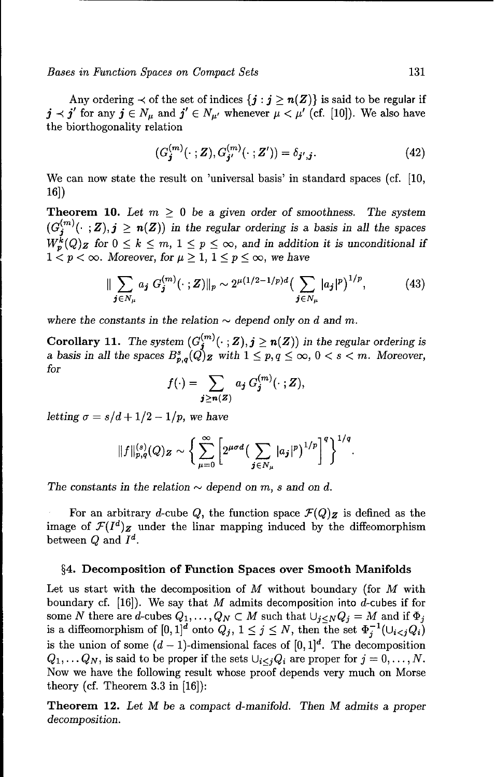Any ordering  $\prec$  of the set of indices  $\{j : j \ge n(Z)\}$  is said to be regular if  $j \prec j'$  for any  $j \in N_u$  and  $j' \in N_{u'}$  whenever  $\mu \prec \mu'$  (cf. [10]). We also have the biorthogonality relation

$$
(G_j^{(m)}(\cdot; \mathbf{Z}), G_{j'}^{(m)}(\cdot; \mathbf{Z'})) = \delta_{j',j}.
$$
 (42)

We can now state the result on 'universal basis' in standard spaces (cf. [10, 16])

**Theorem 10.** Let  $m > 0$  be a given order of smoothness. The system  $(G_i^{(m)}(\cdot ; \mathbf{Z}), j \geq n(\mathbf{Z})$  *in the regular ordering is a basis in all the spaces*  $W_p^{\bullet}(Q)$  *z* for  $0 \leq k \leq m, 1 \leq p \leq \infty$ , and in addition it is unconditional if  $1 < p < \infty$ . Moreover, for  $\mu \geq 1, \, 1 \leq p \leq \infty$ , we have

$$
\|\sum_{\mathbf{j}\in N_{\mu}}a_{\mathbf{j}}\ G_{\mathbf{j}}^{(m)}(\cdot;\mathbf{Z})\|_{p}\sim 2^{\mu(1/2-1/p)d}\big(\sum_{\mathbf{j}\in N_{\mu}}|a_{\mathbf{j}}|^{p}\big)^{1/p},\tag{43}
$$

where the constants in the relation  $\sim$  depend only on d and m.

Corollary 11. The system  $(G_i^{(m)}(\cdot; Z), j \geq n(Z))$  in the regular ordering is *a basis in all the spaces*  $B_{n,q}^s(Q)$  *z* with  $1 \leq p, q \leq \infty, 0 < s < m$ . Moreover, *for*

$$
f(\cdot)=\sum_{\boldsymbol{j}\geq\boldsymbol{n}(Z)}a_{\boldsymbol{j}}\,G_{\boldsymbol{j}}^{(m)}(\cdot\,;Z),
$$

*letting*  $\sigma = s/d + 1/2 - 1/p$ , we have

$$
||f||_{p,q}^{(s)}(Q)Z \sim \bigg\{\sum_{\mu=0}^{\infty}\bigg[2^{\mu\sigma d}\big(\sum_{\bm{j}\in N_{\mu}}|a_{\bm{j}}|^{p}\big)^{1/p}\bigg]^{q}\bigg\}^{1/q}.
$$

The constants in the relation  $\sim$  depend on m, *s* and on *d*.

For an arbitrary d-cube Q, the function space  $\mathcal{F}(Q)$  is defined as the image of  $\mathcal{F}(I^d)$  under the linar mapping induced by the diffeomorphism between  $Q$  and  $I^d$ .

#### §4. Decomposition of Function Spaces over Smooth Manifolds

Let us start with the decomposition of  $M$  without boundary (for  $M$  with boundary cf. [16]). We say that M admits decomposition into d-cubes if for some N there are d-cubes  $Q_1, \ldots, Q_N \subset M$  such that  $\bigcup_{i \le N} Q_i = M$  and if  $\Phi_i$ is a diffeomorphism of  $[0, 1]^d$  onto  $Q_i$ ,  $1 \leq j \leq N$ , then the set  $\Phi_i^{-1}(\cup_{i \leq j} Q_i)$ is the union of some  $(d-1)$ -dimensional faces of  $[0,1]^d$ . The decomposition  $Q_1, \ldots Q_N$ , is said to be proper if the sets  $\bigcup_{i \leq j} Q_i$  are proper for  $j = 0, \ldots, N$ . Now we have the following result whose proof depends very much on Morse theory (cf. Theorem 3.3 in [16]):

Theorem 12. *Let M* be a *compact d-manifold. Then M admits a proper decomposition.*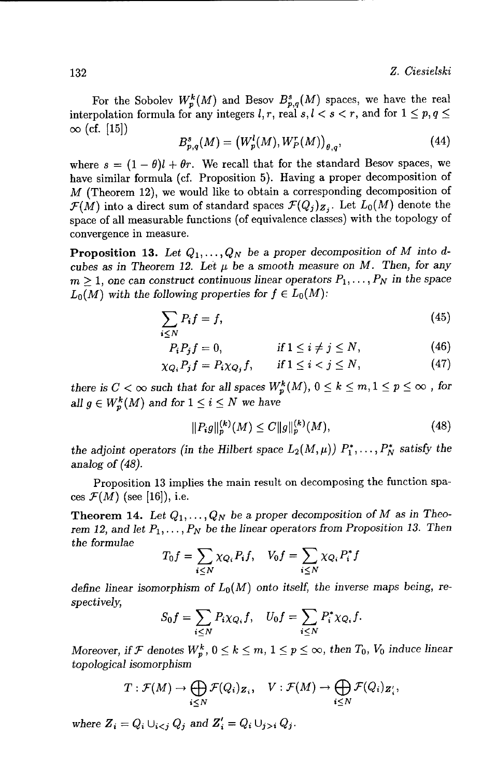For the Sobolev  $W_p^k(M)$  and Besov  $B_{p,q}^s(M)$  spaces, we have the real interpolation formula for any integers *l*, *r*, real *s*,  $l < s < r$ , and for  $1 \le p, q \le$  $\infty$  (cf. [15])<br> $B^s(M) = (W^l(M), W^r(M))$  (44)

$$
B_{p,q}^{s}(M) = (W_p^l(M), W_p^r(M))_{\theta,q}, \tag{44}
$$

where  $s = (1 - \theta)l + \theta r$ . We recall that for the standard Besov spaces, we have similar formula (cf. Proposition 5). Having a proper decomposition of  $M$  (Theorem 12), we would like to obtain a corresponding decomposition of  $\mathcal{F}(M)$  into a direct sum of standard spaces  $\mathcal{F}(Q_i)_{\mathbf{Z}_i}$ . Let  $L_0(M)$  denote the space of all measurable functions (of equivalence classes) with the topology of convergence in measure.

**Proposition 13.** Let  $Q_1, \ldots, Q_N$  be a proper decomposition of M into d*cubes as in Theorem 12. Let*  $\mu$  *be a smooth measure on M. Then, for any*  $m \geq 1$ , one can construct continuous linear operators  $P_1, \ldots, P_N$  in the space  $L_0(M)$  with the following properties for  $f \in L_0(M)$ :

$$
\sum_{i \le N} P_i f = f,\tag{45}
$$

$$
P_i P_j f = 0, \qquad \qquad \text{if } 1 \le i \ne j \le N, \tag{46}
$$

$$
\chi_{Q_i} P_j f = P_i \chi_{Q_j} f, \qquad \text{if } 1 \le i < j \le N,\tag{47}
$$

*there is*  $C < \infty$  *such that for all spaces*  $W_p^k(M)$ ,  $0 \le k \le m, 1 \le p \le \infty$ , for *all*  $g \in W_p^k(M)$  and for  $1 \leq i \leq N$  we have

$$
||P_i g||_p^{(k)}(M) \le C ||g||_p^{(k)}(M),
$$
\n(48)

*the adjoint operators (in the Hilbert space*  $L_2(M,\mu)$ *)*  $P_1^*,\ldots,P_N^*$  *satisfy the analog of (48).*

Proposition 13 implies the main result on decomposing the function spa- $\cos\mathcal{F}(M)$  (see [16]), i.e.

**Theorem 14.** Let  $Q_1, \ldots, Q_N$  be a proper decomposition of M as in Theo*rem 12,* and let *P1 ,..., PN be the linear operators from Proposition 13. Then the formulae*

$$
T_0 f = \sum_{i \le N} \chi_{Q_i} P_i f, \quad V_0 f = \sum_{i \le N} \chi_{Q_i} P_i^* f
$$

define linear isomorphism of  $L_0(M)$  onto itself, the inverse maps being, re*spectively,*

$$
S_0f=\sum_{i\leq N}P_i\chi_{Q_i}f,\quad U_0f=\sum_{i\leq N}P_i^*\chi_{Q_i}f.
$$

*Moreover, if*  $\mathcal F$  denotes  $W_p^k$ ,  $0 \leq k \leq m$ ,  $1 \leq p \leq \infty$ , then  $T_0$ ,  $V_0$  induce linear *topological isomorphism*

$$
T: \mathcal{F}(M) \to \bigoplus_{i \leq N} \mathcal{F}(Q_i)_{\mathbf{Z}_i}, \quad V: \mathcal{F}(M) \to \bigoplus_{i \leq N} \mathcal{F}(Q_i)_{\mathbf{Z}'_i},
$$

where  $Z_i = Q_i \cup_{i \leq j} Q_j$  and  $Z'_i = Q_i \cup_{j>i} Q_j$ .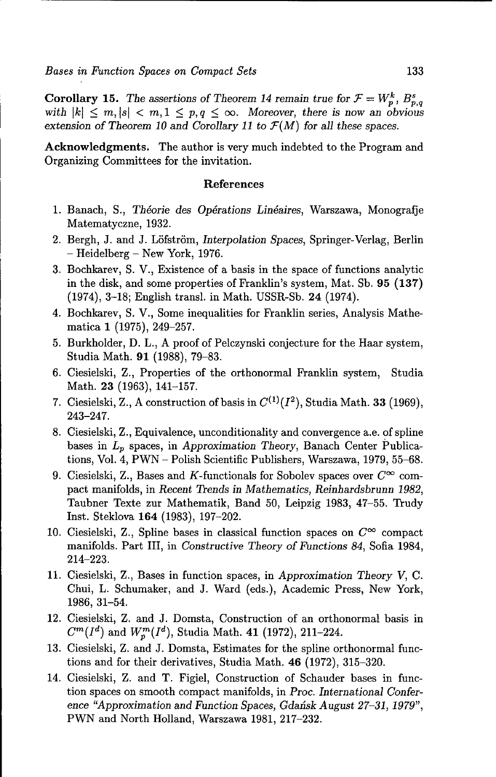**Corollary 15.** The assertions of Theorem 14 remain true for  $\mathcal{F} = W_p^k$ ,  $B_{p,q}^s$ with  $|k| \leq m, |s| < m, 1 \leq p, q \leq \infty$ . Moreover, there is now an obvious *extension of Theorem 10 and Corollary 11 to F(M) for all these spaces.*

Acknowledgments. The author is very much indebted to the Program and Organizing Committees for the invitation.

#### References

- 1. Banach, S., *Thdorie des Op6rations Lindaires,* Warszawa, Monografje Matematyczne, 1932.
- 2. Bergh, J. and J. Löfström, *Interpolation Spaces*, *Springer-Verlag*, *Berlin* - Heidelberg - New York, 1976.
- 3. Bochkarev, S. V., Existence of a basis in the space of functions analytic in the disk, and some properties of Franklin's system, Mat. Sb. 95 (137) (1974), 3-18; English transl. in Math. USSR-Sb. 24 (1974).
- 4. Bochkarev, S. V., Some inequalities for Franklin series, Analysis Mathematica 1 (1975), 249-257.
- 5. Burkholder, D. L., A proof of Pelczynski conjecture for the Haar system, Studia Math. 91 (1988), 79-83.
- 6. Ciesielski, Z., Properties of the orthonormal Franklin system, Studia Math. 23 (1963), 141-157.
- 7. Ciesielski, Z., A construction of basis in  $C^{(1)}(I^2)$ , Studia Math. 33 (1969), 243-247.
- 8. Ciesielski, Z., Equivalence, unconditionality and convergence a.e. of spline bases in  $L_p$  spaces, in *Approximation Theory*, Banach Center Publications, Vol. 4, PWN - Polish Scientific Publishers, Warszawa, 1979, 55-68.
- 9. Ciesielski, Z., Bases and K-functionals for Sobolev spaces over  $C^{\infty}$  compact manifolds, in *Recent Trends in Mathematics, Reinhardsbrunn 1982,* Taubner Texte zur Mathematik, Band 50, Leipzig 1983, 47-55. Trudy Inst. Steklova 164 (1983), 197-202.
- 10. Ciesielski, Z., Spline bases in classical function spaces on  $C^{\infty}$  compact manifolds. Part III, in *Constructive Theory of Functions 84,* Sofia 1984, 214-223.
- 11. Ciesielski, Z., Bases in function spaces, in *Approximation Theory* V, C. Chui, L. Schumaker, and J. Ward (eds.), Academic Press, New York, 1986, 31-54.
- 12. Ciesielski, Z. and J. Domsta, Construction of an orthonormal basis in  $C^m(I^d)$  and  $W^m_n(I^d)$ , Studia Math. 41 (1972), 211-224.
- 13. Ciesielski, Z. and J. Domsta, Estimates for the spline orthonormal functions and for their derivatives, Studia Math. 46 (1972), 315-320.
- 14. Ciesielski, Z. and T. Figiel, Construction of Schauder bases in function spaces on smooth compact manifolds, in *Proc. International Conference "Approximation and Function Spaces, Gdaiisk August 27-31, 1979",* PWN and North Holland, Warszawa 1981, 217-232.